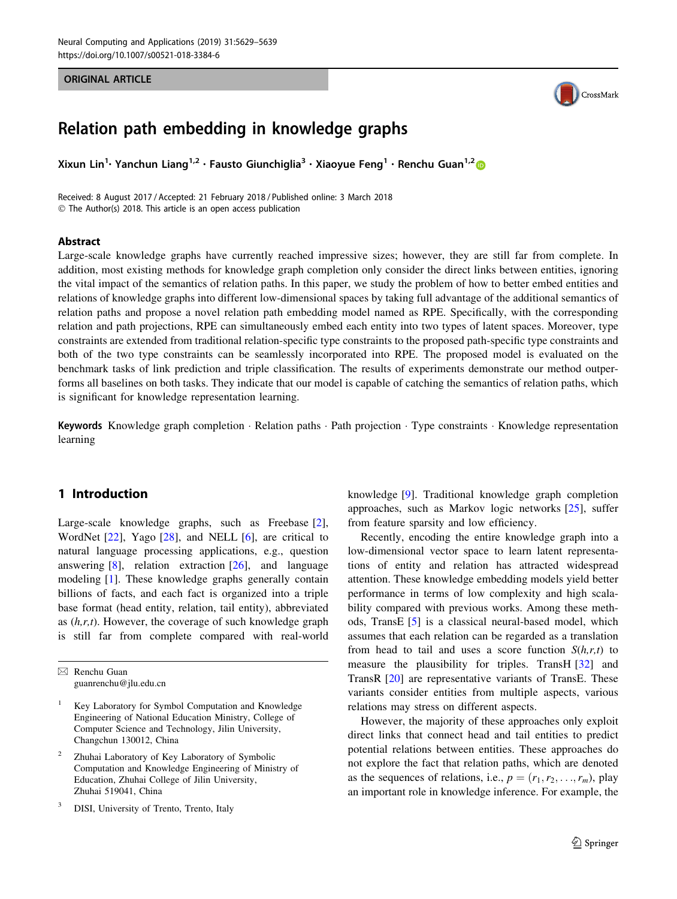#### ORIGINAL ARTICLE



# Relation path embedding in knowledge graphs

Xixun Lin<sup>1</sup>· Yanchun Liang<sup>1,2</sup> • Fausto Giunchiglia<sup>3</sup> • Xiaoyue Feng<sup>1</sup> • Renchu Guan<sup>1,2</sup> ®

Received: 8 August 2017 / Accepted: 21 February 2018 / Published online: 3 March 2018 - The Author(s) 2018. This article is an open access publication

#### Abstract

Large-scale knowledge graphs have currently reached impressive sizes; however, they are still far from complete. In addition, most existing methods for knowledge graph completion only consider the direct links between entities, ignoring the vital impact of the semantics of relation paths. In this paper, we study the problem of how to better embed entities and relations of knowledge graphs into different low-dimensional spaces by taking full advantage of the additional semantics of relation paths and propose a novel relation path embedding model named as RPE. Specifically, with the corresponding relation and path projections, RPE can simultaneously embed each entity into two types of latent spaces. Moreover, type constraints are extended from traditional relation-specific type constraints to the proposed path-specific type constraints and both of the two type constraints can be seamlessly incorporated into RPE. The proposed model is evaluated on the benchmark tasks of link prediction and triple classification. The results of experiments demonstrate our method outperforms all baselines on both tasks. They indicate that our model is capable of catching the semantics of relation paths, which is significant for knowledge representation learning.

Keywords Knowledge graph completion · Relation paths · Path projection · Type constraints · Knowledge representation learning

# 1 Introduction

Large-scale knowledge graphs, such as Freebase [\[2](#page-10-0)], WordNet [[22\]](#page-10-0), Yago [[28\]](#page-10-0), and NELL [[6\]](#page-10-0), are critical to natural language processing applications, e.g., question answering  $[8]$  $[8]$ , relation extraction  $[26]$  $[26]$ , and language modeling [\[1](#page-10-0)]. These knowledge graphs generally contain billions of facts, and each fact is organized into a triple base format (head entity, relation, tail entity), abbreviated as  $(h,r,t)$ . However, the coverage of such knowledge graph is still far from complete compared with real-world knowledge [[9\]](#page-10-0). Traditional knowledge graph completion approaches, such as Markov logic networks [\[25](#page-10-0)], suffer from feature sparsity and low efficiency.

Recently, encoding the entire knowledge graph into a low-dimensional vector space to learn latent representations of entity and relation has attracted widespread attention. These knowledge embedding models yield better performance in terms of low complexity and high scalability compared with previous works. Among these methods, TransE [\[5](#page-10-0)] is a classical neural-based model, which assumes that each relation can be regarded as a translation from head to tail and uses a score function  $S(h,r,t)$  to measure the plausibility for triples. TransH [\[32](#page-10-0)] and TransR [\[20](#page-10-0)] are representative variants of TransE. These variants consider entities from multiple aspects, various relations may stress on different aspects.

However, the majority of these approaches only exploit direct links that connect head and tail entities to predict potential relations between entities. These approaches do not explore the fact that relation paths, which are denoted as the sequences of relations, i.e.,  $p = (r_1, r_2, \ldots, r_m)$ , play an important role in knowledge inference. For example, the

 $\boxtimes$  Renchu Guan guanrenchu@jlu.edu.cn

Key Laboratory for Symbol Computation and Knowledge Engineering of National Education Ministry, College of Computer Science and Technology, Jilin University, Changchun 130012, China

<sup>2</sup> Zhuhai Laboratory of Key Laboratory of Symbolic Computation and Knowledge Engineering of Ministry of Education, Zhuhai College of Jilin University, Zhuhai 519041, China

DISI, University of Trento, Trento, Italy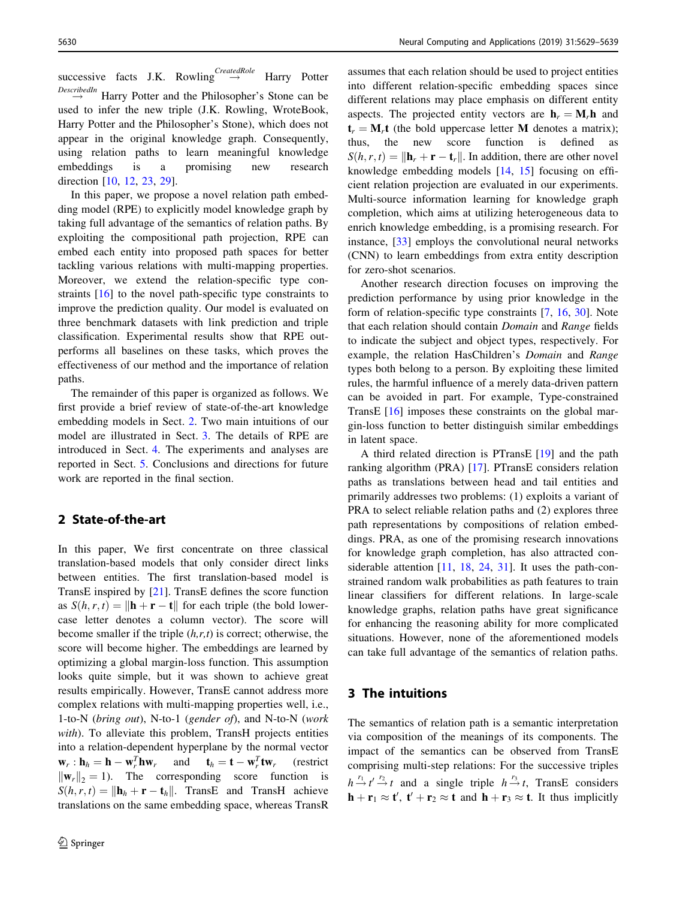successive facts J.K. Rowling  $\overset{CreatedRole}{\rightarrow}$  Harry Potter  $\stackrel{DescribedIn}{\rightarrow}$  Harry Potter and the Philosopher's Stone can be used to infer the new triple (J.K. Rowling, WroteBook, Harry Potter and the Philosopher's Stone), which does not appear in the original knowledge graph. Consequently, using relation paths to learn meaningful knowledge embeddings is a promising new research direction [\[10](#page-10-0), [12](#page-10-0), [23,](#page-10-0) [29\]](#page-10-0).

In this paper, we propose a novel relation path embedding model (RPE) to explicitly model knowledge graph by taking full advantage of the semantics of relation paths. By exploiting the compositional path projection, RPE can embed each entity into proposed path spaces for better tackling various relations with multi-mapping properties. Moreover, we extend the relation-specific type constraints [[16\]](#page-10-0) to the novel path-specific type constraints to improve the prediction quality. Our model is evaluated on three benchmark datasets with link prediction and triple classification. Experimental results show that RPE outperforms all baselines on these tasks, which proves the effectiveness of our method and the importance of relation paths.

The remainder of this paper is organized as follows. We first provide a brief review of state-of-the-art knowledge embedding models in Sect. 2. Two main intuitions of our model are illustrated in Sect. 3. The details of RPE are introduced in Sect. [4.](#page-2-0) The experiments and analyses are reported in Sect. [5](#page-6-0). Conclusions and directions for future work are reported in the final section.

# 2 State-of-the-art

In this paper, We first concentrate on three classical translation-based models that only consider direct links between entities. The first translation-based model is TransE inspired by [[21\]](#page-10-0). TransE defines the score function as  $S(h, r, t) = ||\mathbf{h} + \mathbf{r} - \mathbf{t}||$  for each triple (the bold lowercase letter denotes a column vector). The score will become smaller if the triple  $(h,r,t)$  is correct; otherwise, the score will become higher. The embeddings are learned by optimizing a global margin-loss function. This assumption looks quite simple, but it was shown to achieve great results empirically. However, TransE cannot address more complex relations with multi-mapping properties well, i.e., 1-to-N (bring out), N-to-1 (gender of), and N-to-N (work with). To alleviate this problem, TransH projects entities into a relation-dependent hyperplane by the normal vector  $\mathbf{w}_r : \mathbf{h}_h = \mathbf{h} - \mathbf{w}_r^T \mathbf{h} \mathbf{w}_r$  and  $\mathbf{t}_h = \mathbf{t} - \mathbf{w}_r^T$ (restrict  $\|\mathbf{w}_r\|_2 = 1$ . The corresponding score function is  $S(h, r, t) = ||\mathbf{h}_h + \mathbf{r} - \mathbf{t}_h||$ . TransE and TransH achieve translations on the same embedding space, whereas TransR

assumes that each relation should be used to project entities into different relation-specific embedding spaces since different relations may place emphasis on different entity aspects. The projected entity vectors are  $h_r = M_r h$  and  $t_r = M_r t$  (the bold uppercase letter M denotes a matrix); thus, the new score function is defined as  $S(h, r, t) = ||\mathbf{h}_r + \mathbf{r} - \mathbf{t}_r||$ . In addition, there are other novel knowledge embedding models [[14,](#page-10-0) [15\]](#page-10-0) focusing on efficient relation projection are evaluated in our experiments. Multi-source information learning for knowledge graph completion, which aims at utilizing heterogeneous data to enrich knowledge embedding, is a promising research. For instance, [[33\]](#page-10-0) employs the convolutional neural networks (CNN) to learn embeddings from extra entity description for zero-shot scenarios.

Another research direction focuses on improving the prediction performance by using prior knowledge in the form of relation-specific type constraints [\[7](#page-10-0), [16,](#page-10-0) [30\]](#page-10-0). Note that each relation should contain Domain and Range fields to indicate the subject and object types, respectively. For example, the relation HasChildren's Domain and Range types both belong to a person. By exploiting these limited rules, the harmful influence of a merely data-driven pattern can be avoided in part. For example, Type-constrained TransE [[16\]](#page-10-0) imposes these constraints on the global margin-loss function to better distinguish similar embeddings in latent space.

A third related direction is PTransE [[19\]](#page-10-0) and the path ranking algorithm (PRA) [\[17](#page-10-0)]. PTransE considers relation paths as translations between head and tail entities and primarily addresses two problems: (1) exploits a variant of PRA to select reliable relation paths and (2) explores three path representations by compositions of relation embeddings. PRA, as one of the promising research innovations for knowledge graph completion, has also attracted considerable attention [\[11](#page-10-0), [18,](#page-10-0) [24](#page-10-0), [31\]](#page-10-0). It uses the path-constrained random walk probabilities as path features to train linear classifiers for different relations. In large-scale knowledge graphs, relation paths have great significance for enhancing the reasoning ability for more complicated situations. However, none of the aforementioned models can take full advantage of the semantics of relation paths.

# 3 The intuitions

The semantics of relation path is a semantic interpretation via composition of the meanings of its components. The impact of the semantics can be observed from TransE comprising multi-step relations: For the successive triples  $h \stackrel{r_1}{\rightarrow} t' \stackrel{r_2}{\rightarrow} t$  and a single triple  $h \stackrel{r_3}{\rightarrow} t$ , TransE considers  $\mathbf{h} + \mathbf{r}_1 \approx \mathbf{t}'$ ,  $\mathbf{t}' + \mathbf{r}_2 \approx \mathbf{t}$  and  $\mathbf{h} + \mathbf{r}_3 \approx \mathbf{t}$ . It thus implicitly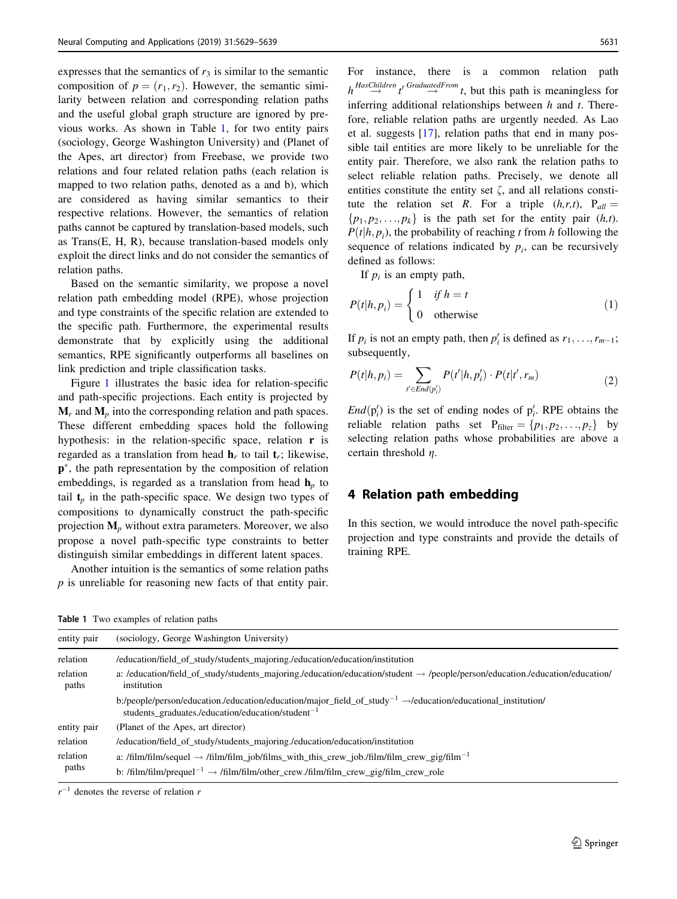<span id="page-2-0"></span>expresses that the semantics of  $r_3$  is similar to the semantic composition of  $p = (r_1, r_2)$ . However, the semantic similarity between relation and corresponding relation paths and the useful global graph structure are ignored by previous works. As shown in Table 1, for two entity pairs (sociology, George Washington University) and (Planet of the Apes, art director) from Freebase, we provide two relations and four related relation paths (each relation is mapped to two relation paths, denoted as a and b), which are considered as having similar semantics to their respective relations. However, the semantics of relation paths cannot be captured by translation-based models, such as Trans(E, H, R), because translation-based models only exploit the direct links and do not consider the semantics of relation paths.

Based on the semantic similarity, we propose a novel relation path embedding model (RPE), whose projection and type constraints of the specific relation are extended to the specific path. Furthermore, the experimental results demonstrate that by explicitly using the additional semantics, RPE significantly outperforms all baselines on link prediction and triple classification tasks.

Figure [1](#page-3-0) illustrates the basic idea for relation-specific and path-specific projections. Each entity is projected by  $M_r$  and  $M_p$  into the corresponding relation and path spaces. These different embedding spaces hold the following hypothesis: in the relation-specific space, relation **r** is regarded as a translation from head  $\mathbf{h}_r$  to tail  $\mathbf{t}_r$ ; likewise,  $p^*$ , the path representation by the composition of relation embeddings, is regarded as a translation from head  $h_p$  to tail  $t_p$  in the path-specific space. We design two types of compositions to dynamically construct the path-specific projection  $M_p$  without extra parameters. Moreover, we also propose a novel path-specific type constraints to better distinguish similar embeddings in different latent spaces.

Another intuition is the semantics of some relation paths p is unreliable for reasoning new facts of that entity pair.

Table 1 Two examples of relation paths

For instance, there is a common relation path  $h \stackrel{HasChildren}{\rightarrow} t' \stackrel{GraduatedFrom}{\rightarrow} t$ , but this path is meaningless for inferring additional relationships between  $h$  and  $t$ . Therefore, reliable relation paths are urgently needed. As Lao et al. suggests [[17\]](#page-10-0), relation paths that end in many possible tail entities are more likely to be unreliable for the entity pair. Therefore, we also rank the relation paths to select reliable relation paths. Precisely, we denote all entities constitute the entity set  $\zeta$ , and all relations constitute the relation set R. For a triple  $(h,r,t)$ ,  $P_{all}$  $\{p_1, p_2, \ldots, p_k\}$  is the path set for the entity pair  $(h,t)$ .  $P(t|h, p_i)$ , the probability of reaching t from h following the sequence of relations indicated by  $p_i$ , can be recursively defined as follows:

If  $p_i$  is an empty path,

$$
P(t|h, p_i) = \begin{cases} 1 & if \ h = t \\ 0 & otherwise \end{cases}
$$
 (1)

If  $p_i$  is not an empty path, then  $p'_i$  is defined as  $r_1, \ldots, r_{m-1}$ ; subsequently,

$$
P(t|h, p_i) = \sum_{t' \in End(p'_i)} P(t'|h, p'_i) \cdot P(t|t', r_m)
$$
 (2)

 $\text{End}(p_i')$  is the set of ending nodes of  $p_i'$ . RPE obtains the reliable relation paths set  $P_{filter} = \{p_1, p_2, \ldots, p_z\}$  by selecting relation paths whose probabilities are above a certain threshold  $\eta$ .

# 4 Relation path embedding

In this section, we would introduce the novel path-specific projection and type constraints and provide the details of training RPE.

| entity pair       | (sociology, George Washington University)                                                                                                                                                             |
|-------------------|-------------------------------------------------------------------------------------------------------------------------------------------------------------------------------------------------------|
| relation          | /education/field_of_study/students_majoring./education/education/institution                                                                                                                          |
| relation<br>paths | a: /education/field_of_study/students_majoring./education/education/student $\rightarrow$ /people/person/education./education/education/<br>institution                                               |
|                   | b:/people/person/education./education/education/major_field_of_study <sup>-1</sup> $\rightarrow$ /education/educational_institution/<br>students graduates./education/education/student <sup>-1</sup> |
| entity pair       | (Planet of the Apes, art director)                                                                                                                                                                    |
| relation          | /education/field_of_study/students_majoring./education/education/institution                                                                                                                          |
| relation<br>paths | a: /film/film/sequel $\rightarrow$ /film/film_job/films_with_this_crew_job./film/film_crew_gig/film <sup>-1</sup>                                                                                     |
|                   | b: /film/film/prequel <sup>-1</sup> $\rightarrow$ /film/film/other crew./film/film crew gig/film crew role                                                                                            |

 $r^{-1}$  denotes the reverse of relation r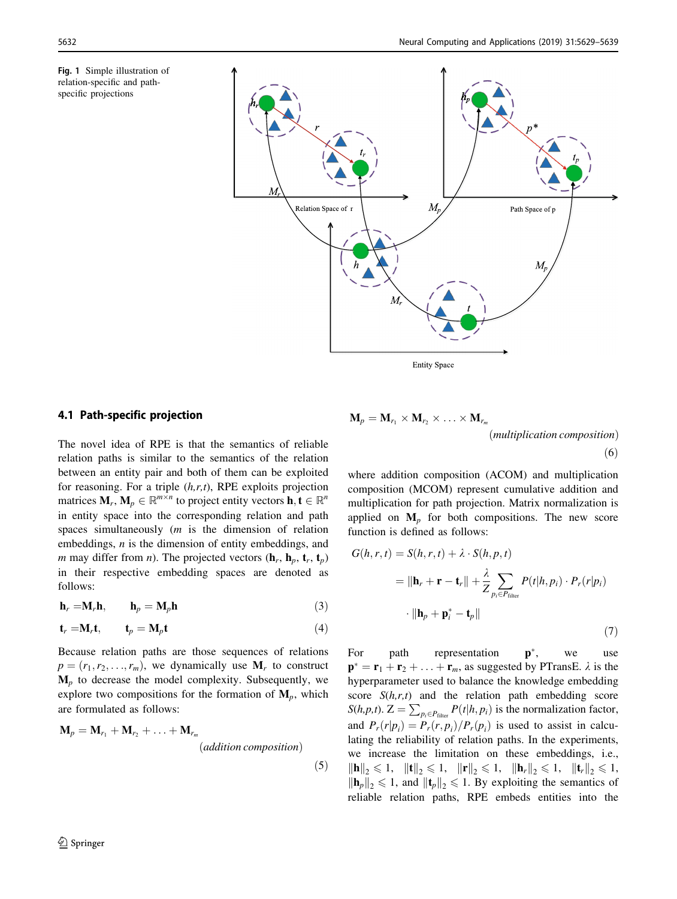<span id="page-3-0"></span>



# 4.1 Path-specific projection

The novel idea of RPE is that the semantics of reliable relation paths is similar to the semantics of the relation between an entity pair and both of them can be exploited for reasoning. For a triple  $(h,r,t)$ , RPE exploits projection matrices  $M_r$ ,  $M_p \in \mathbb{R}^{m \times n}$  to project entity vectors  $\mathbf{h}, \mathbf{t} \in \mathbb{R}^n$ in entity space into the corresponding relation and path spaces simultaneously  $(m \text{ is the dimension of }$  relation embeddings, n is the dimension of entity embeddings, and *m* may differ from *n*). The projected vectors  $(\mathbf{h}_r, \mathbf{h}_p, \mathbf{t}_r, \mathbf{t}_p)$ in their respective embedding spaces are denoted as follows:

$$
\mathbf{h}_r = \mathbf{M}_r \mathbf{h}, \qquad \mathbf{h}_p = \mathbf{M}_p \mathbf{h} \tag{3}
$$

$$
\mathbf{t}_r = \mathbf{M}_r \mathbf{t}, \qquad \mathbf{t}_p = \mathbf{M}_p \mathbf{t}
$$
 (4)

Because relation paths are those sequences of relations  $p = (r_1, r_2, \ldots, r_m)$ , we dynamically use  $M_r$  to construct  $M_p$  to decrease the model complexity. Subsequently, we explore two compositions for the formation of  $M_p$ , which are formulated as follows:

$$
\mathbf{M}_p = \mathbf{M}_{r_1} + \mathbf{M}_{r_2} + \ldots + \mathbf{M}_{r_m}
$$
  
(addition composition) (5)

$$
\mathbf{M}_p = \mathbf{M}_{r_1} \times \mathbf{M}_{r_2} \times \ldots \times \mathbf{M}_{r_m}
$$
\n(*multiplication composition*)\n(6)

where addition composition (ACOM) and multiplication composition (MCOM) represent cumulative addition and multiplication for path projection. Matrix normalization is applied on  $M_p$  for both compositions. The new score function is defined as follows:

$$
G(h, r, t) = S(h, r, t) + \lambda \cdot S(h, p, t)
$$
  
=  $\|\mathbf{h}_r + \mathbf{r} - \mathbf{t}_r\| + \frac{\lambda}{Z} \sum_{p_i \in P_{\text{filter}}} P(t|h, p_i) \cdot P_r(r|p_i)$   
 $\cdot \|\mathbf{h}_p + \mathbf{p}_i^* - \mathbf{t}_p\|$  (7)

For path representation  $p^*$ , we use  $\mathbf{p}^* = \mathbf{r}_1 + \mathbf{r}_2 + \ldots + \mathbf{r}_m$ , as suggested by PTransE.  $\lambda$  is the hyperparameter used to balance the knowledge embedding score  $S(h,r,t)$  and the relation path embedding score  $S(h, p, t)$ .  $Z = \sum_{p_i \in P_{filter}} P(t|h, p_i)$  is the normalization factor, and  $P_r(r|p_i) = P_r(r, p_i)/P_r(p_i)$  is used to assist in calculating the reliability of relation paths. In the experiments, we increase the limitation on these embeddings, i.e.,  $\|\mathbf{h}\|_2 \leq 1$ ,  $\|\mathbf{t}\|_2 \leq 1$ ,  $\|\mathbf{r}\|_2 \leq 1$ ,  $\|\mathbf{h}_r\|_2 \leq 1$ ,  $\|\mathbf{t}_r\|_2 \leq 1$ ,  $\|\mathbf{h}_p\|_2 \leq 1$ , and  $\|\mathbf{t}_p\|_2 \leq 1$ . By exploiting the semantics of reliable relation paths, RPE embeds entities into the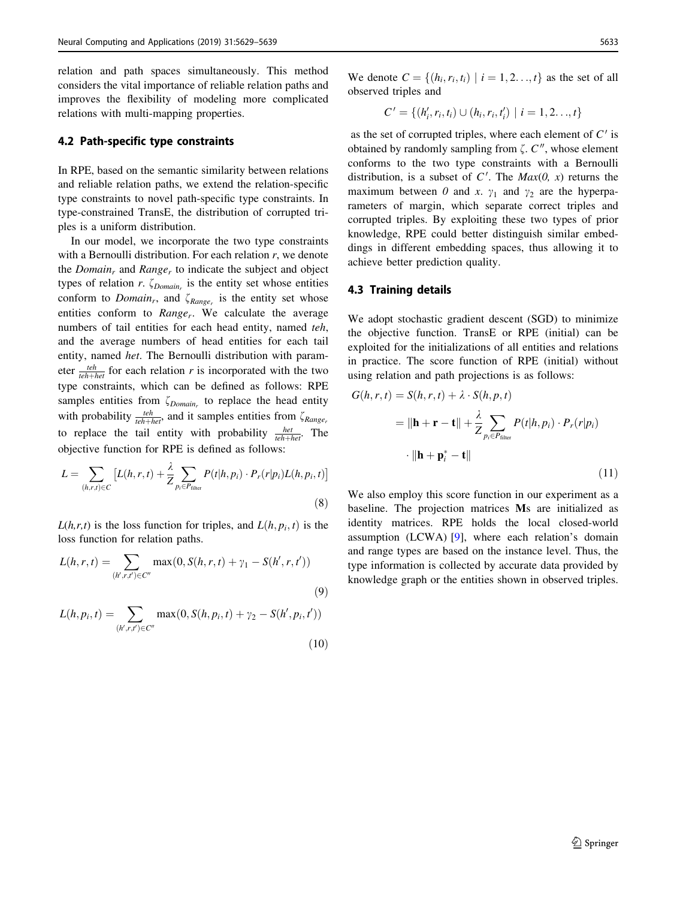relation and path spaces simultaneously. This method considers the vital importance of reliable relation paths and improves the flexibility of modeling more complicated relations with multi-mapping properties.

#### 4.2 Path-specific type constraints

In RPE, based on the semantic similarity between relations and reliable relation paths, we extend the relation-specific type constraints to novel path-specific type constraints. In type-constrained TransE, the distribution of corrupted triples is a uniform distribution.

In our model, we incorporate the two type constraints with a Bernoulli distribution. For each relation  $r$ , we denote the *Domain<sub>r</sub>* and *Range<sub>r</sub>* to indicate the subject and object types of relation r.  $\zeta_{Domain_r}$  is the entity set whose entities conform to *Domain<sub>r</sub>*, and  $\zeta_{Range_r}$  is the entity set whose entities conform to  $Range_r$ . We calculate the average numbers of tail entities for each head entity, named teh, and the average numbers of head entities for each tail entity, named het. The Bernoulli distribution with parameter  $\frac{teh}{teh + het}$  for each relation r is incorporated with the two type constraints, which can be defined as follows: RPE samples entities from  $\zeta_{Domain_r}$  to replace the head entity with probability  $\frac{teh}{teh+het}$ , and it samples entities from  $\zeta_{Range}$ to replace the tail entity with probability  $\frac{het}{teh+het}$ . The objective function for RPE is defined as follows:

$$
L = \sum_{(h,r,t)\in C} \left[ L(h,r,t) + \frac{\lambda}{Z} \sum_{p_i \in P_{\text{filter}}} P(t|h, p_i) \cdot P_r(r|p_i) L(h, p_i, t) \right]
$$
\n(8)

 $L(h,r,t)$  is the loss function for triples, and  $L(h, p_i, t)$  is the loss function for relation paths.

$$
L(h, r, t) = \sum_{(h', r, t') \in C''} \max(0, S(h, r, t) + \gamma_1 - S(h', r, t'))
$$
\n(9)

$$
L(h, p_i, t) = \sum_{(h', r, t') \in C''} \max(0, S(h, p_i, t) + \gamma_2 - S(h', p_i, t'))
$$
\n(10)

We denote  $C = \{(h_i, r_i, t_i) | i = 1, 2, \ldots, t\}$  as the set of all observed triples and

$$
C' = \{(h'_i, r_i, t_i) \cup (h_i, r_i, t'_i) \mid i = 1, 2, \ldots, t\}
$$

as the set of corrupted triples, where each element of  $C'$  is obtained by randomly sampling from  $\zeta$ .  $C''$ , whose element conforms to the two type constraints with a Bernoulli distribution, is a subset of  $C'$ . The  $Max(0, x)$  returns the maximum between 0 and x.  $\gamma_1$  and  $\gamma_2$  are the hyperparameters of margin, which separate correct triples and corrupted triples. By exploiting these two types of prior knowledge, RPE could better distinguish similar embeddings in different embedding spaces, thus allowing it to achieve better prediction quality.

#### 4.3 Training details

We adopt stochastic gradient descent (SGD) to minimize the objective function. TransE or RPE (initial) can be exploited for the initializations of all entities and relations in practice. The score function of RPE (initial) without using relation and path projections is as follows:

$$
G(h, r, t) = S(h, r, t) + \lambda \cdot S(h, p, t)
$$
  

$$
= ||\mathbf{h} + \mathbf{r} - \mathbf{t}|| + \frac{\lambda}{Z} \sum_{p_i \in P_{\text{filter}}} P(t|h, p_i) \cdot P_r(r|p_i)
$$
  

$$
\cdot ||\mathbf{h} + \mathbf{p}_i^* - \mathbf{t}||
$$
 (11)

We also employ this score function in our experiment as a baseline. The projection matrices Ms are initialized as identity matrices. RPE holds the local closed-world assumption (LCWA) [\[9](#page-10-0)], where each relation's domain and range types are based on the instance level. Thus, the type information is collected by accurate data provided by knowledge graph or the entities shown in observed triples.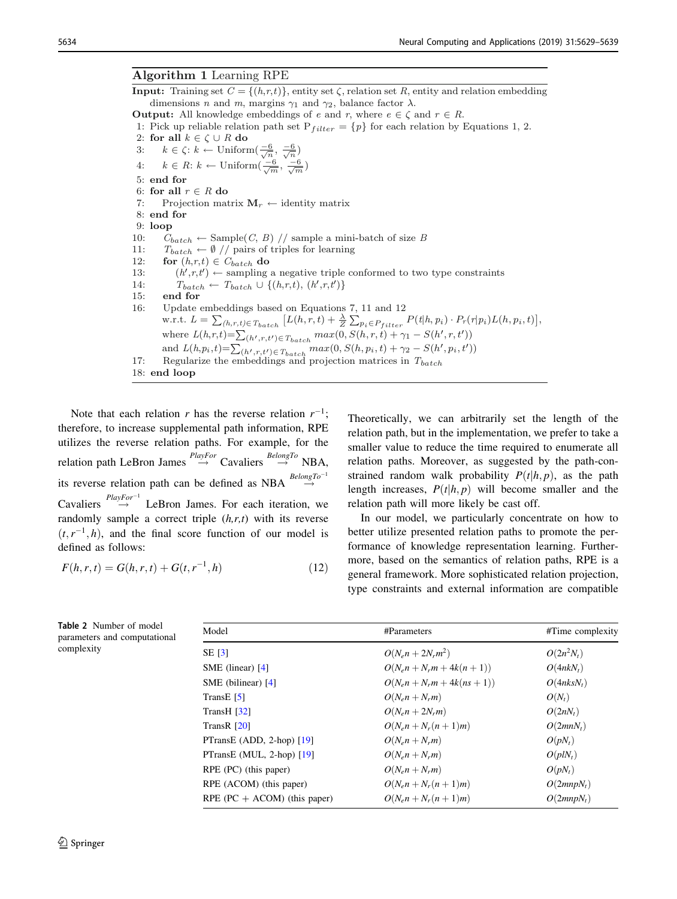<span id="page-5-0"></span>**Input:** Training set  $C = \{(h,r,t)\}$ , entity set  $\zeta$ , relation set *R*, entity and relation embedding dimensions *n* and *m*, margins  $\gamma_1$  and  $\gamma_2$ , balance factor  $\lambda$ . **Output:** All knowledge embeddings of *e* and *r*, where  $e \in \zeta$  and  $r \in R$ . 1: Pick up reliable relation path set  $P_{filter} = \{p\}$  for each relation by Equations 1, 2. 2: **for all**  $k \in \zeta \cup R$  **do**<br>3:  $k \in \zeta$ :  $k \leftarrow$  Uniform 3:  $k \in \zeta: k \leftarrow \text{Uniform}(\frac{-6}{\sqrt{n}}, \frac{-6}{\sqrt{n}})$ 4: *k* ∈ *R*: *k* ← Uniform( $\frac{-6}{\sqrt{m}}, \frac{-6}{\sqrt{m}}$ ) 5: **end for** 6: **for all**  $r \in R$  **do**<br>7: Projection mat Projection matrix  $M_r \leftarrow$  identity matrix 8: **end for** 9: **loop** 10:  $C_{batch} \leftarrow \text{Sample}(C, B) // sample a mini-batch of size B$ <br>11:  $T_{batch} \leftarrow \emptyset // pairs of triples for learning$ 11:  $T_{batch} \leftarrow \emptyset // \text{ pairs of triples for learning}$ <br>12: **for**  $(h.r.t) \in C_{batch} \textbf{ do}$ 12: **for**  $(h,r,t) \in C_{batch}$  **do**<br>13:  $(h', r, t') \leftarrow \text{sampling}$ 13:  $(h', r, t') \leftarrow$  sampling a negative triple conformed to two type constraints<br>14:  $T_{batch} \leftarrow T_{batch} \cup \{(h, r, t), (h', r, t')\}$ 14:  $T_{batch} \leftarrow T_{batch} \cup \{(h,r,t), (h',r,t')\}$ <br>15: end for end for 16: Update embeddings based on Equations 7, 11 and 12 w.r.t.  $L = \sum_{(h,r,t) \in T_{batch}} [L(h,r,t) + \frac{\lambda}{Z} \sum_{p_i \in P_{filter}} P(t|h, p_i) \cdot P_r(r|p_i) L(h, p_i, t)],$ where  $L(h,r,t) = \sum_{(h',r,t') \in T_{batch}} max(0, S(h,r,t) + \gamma_1 - S(h',r,t'))$ and  $L(h, p_i, t) = \sum_{(h', r, t') \in T_{batch}} max(0, S(h, p_i, t) + \gamma_2 - S(h', p_i, t'))$ 17: Regularize the embeddings and projection matrices in  $T_{batch}$ 18: **end loop**

Note that each relation r has the reverse relation  $r^{-1}$ ; therefore, to increase supplemental path information, RPE utilizes the reverse relation paths. For example, for the relation path LeBron James  $\stackrel{PlayFor}{\rightarrow}$  Cavaliers  $\stackrel{BelongTo}{\rightarrow}$  NBA, its reverse relation path can be defined as NBA  $\overset{BelongTo^{-1}}{\rightarrow}$ Cavaliers  $\stackrel{PlayFor^{-1}}{\rightarrow}$  LeBron James. For each iteration, we randomly sample a correct triple  $(h,r,t)$  with its reverse  $(t, r^{-1}, h)$ , and the final score function of our model is defined as follows:

$$
F(h,r,t) = G(h,r,t) + G(t,r^{-1},h)
$$
\n(12)

Theoretically, we can arbitrarily set the length of the relation path, but in the implementation, we prefer to take a smaller value to reduce the time required to enumerate all relation paths. Moreover, as suggested by the path-constrained random walk probability  $P(t|h, p)$ , as the path length increases,  $P(t|h, p)$  will become smaller and the relation path will more likely be cast off.

In our model, we particularly concentrate on how to better utilize presented relation paths to promote the performance of knowledge representation learning. Furthermore, based on the semantics of relation paths, RPE is a general framework. More sophisticated relation projection, type constraints and external information are compatible

| #Parameters                      | #Time complexity       |
|----------------------------------|------------------------|
| $O(N_{e}n + 2N_{r}m^{2})$        | $O(2n^2N_t)$           |
| $O(N_e n + N_r m + 4k(n + 1))$   | $O(4nkN_t)$            |
| $O(N_e n + N_r m + 4k(n_s + 1))$ | O(4nksN <sub>t</sub> ) |
| $O(N_e n + N_r m)$               | $O(N_t)$               |
| $O(N_e n + 2N_r m)$              | $O(2nN_t)$             |
| $O(N_e n + N_r(n+1)m)$           | $O(2mnN_t)$            |
| $O(N_e n + N_r m)$               | $O(pN_t)$              |
| $O(N_e n + N_r m)$               | $O(plN_t)$             |
| $O(N_e n + N_r m)$               | $O(pN_t)$              |
| $O(N_e n + N_r(n+1)m)$           | $O(2mnpN_t)$           |
| $O(N_e n + N_r(n+1)m)$           | $O(2mnpN_t)$           |
|                                  |                        |

Table 2 Number of model parameters and computation

complexity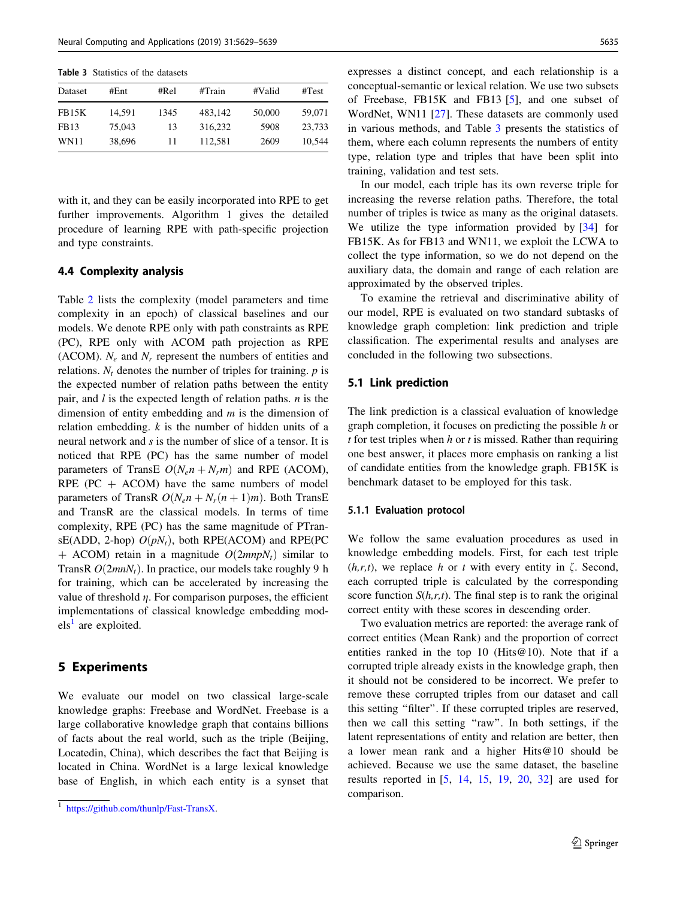<span id="page-6-0"></span>Table 3 Statistics of the datasets

| Dataset      | #Ent   | #Rel | #Train  | #Valid | #Test  |
|--------------|--------|------|---------|--------|--------|
| <b>FB15K</b> | 14.591 | 1345 | 483.142 | 50,000 | 59,071 |
| FB13         | 75,043 | 13   | 316,232 | 5908   | 23.733 |
| WN11         | 38,696 | 11   | 112.581 | 2609   | 10.544 |

with it, and they can be easily incorporated into RPE to get further improvements. Algorithm 1 gives the detailed procedure of learning RPE with path-specific projection and type constraints.

### 4.4 Complexity analysis

Table [2](#page-5-0) lists the complexity (model parameters and time complexity in an epoch) of classical baselines and our models. We denote RPE only with path constraints as RPE (PC), RPE only with ACOM path projection as RPE (ACOM).  $N_e$  and  $N_r$  represent the numbers of entities and relations.  $N_t$  denotes the number of triples for training.  $p$  is the expected number of relation paths between the entity pair, and  $l$  is the expected length of relation paths.  $n$  is the dimension of entity embedding and  $m$  is the dimension of relation embedding.  $k$  is the number of hidden units of a neural network and s is the number of slice of a tensor. It is noticed that RPE (PC) has the same number of model parameters of TransE  $O(N_e n + N_r m)$  and RPE (ACOM), RPE (PC  $+$  ACOM) have the same numbers of model parameters of TransR  $O(N_e n + N_r(n + 1)m)$ . Both TransE and TransR are the classical models. In terms of time complexity, RPE (PC) has the same magnitude of PTransE(ADD, 2-hop)  $O(pN_t)$ , both RPE(ACOM) and RPE(PC + ACOM) retain in a magnitude  $O(2mnpN_t)$  similar to TransR  $O(2mnN<sub>t</sub>)$ . In practice, our models take roughly 9 h for training, which can be accelerated by increasing the value of threshold  $\eta$ . For comparison purposes, the efficient implementations of classical knowledge embedding mod $els<sup>1</sup>$  are exploited.

#### 5 Experiments

We evaluate our model on two classical large-scale knowledge graphs: Freebase and WordNet. Freebase is a large collaborative knowledge graph that contains billions of facts about the real world, such as the triple (Beijing, Locatedin, China), which describes the fact that Beijing is located in China. WordNet is a large lexical knowledge base of English, in which each entity is a synset that expresses a distinct concept, and each relationship is a conceptual-semantic or lexical relation. We use two subsets of Freebase, FB15K and FB13 [\[5](#page-10-0)], and one subset of WordNet, WN11 [[27](#page-10-0)]. These datasets are commonly used in various methods, and Table 3 presents the statistics of them, where each column represents the numbers of entity type, relation type and triples that have been split into training, validation and test sets.

In our model, each triple has its own reverse triple for increasing the reverse relation paths. Therefore, the total number of triples is twice as many as the original datasets. We utilize the type information provided by [[34\]](#page-10-0) for FB15K. As for FB13 and WN11, we exploit the LCWA to collect the type information, so we do not depend on the auxiliary data, the domain and range of each relation are approximated by the observed triples.

To examine the retrieval and discriminative ability of our model, RPE is evaluated on two standard subtasks of knowledge graph completion: link prediction and triple classification. The experimental results and analyses are concluded in the following two subsections.

#### 5.1 Link prediction

The link prediction is a classical evaluation of knowledge graph completion, it focuses on predicting the possible h or t for test triples when  $h$  or  $t$  is missed. Rather than requiring one best answer, it places more emphasis on ranking a list of candidate entities from the knowledge graph. FB15K is benchmark dataset to be employed for this task.

#### 5.1.1 Evaluation protocol

We follow the same evaluation procedures as used in knowledge embedding models. First, for each test triple  $(h,r,t)$ , we replace h or t with every entity in  $\zeta$ . Second, each corrupted triple is calculated by the corresponding score function  $S(h,r,t)$ . The final step is to rank the original correct entity with these scores in descending order.

Two evaluation metrics are reported: the average rank of correct entities (Mean Rank) and the proportion of correct entities ranked in the top 10 (Hits $@10$ ). Note that if a corrupted triple already exists in the knowledge graph, then it should not be considered to be incorrect. We prefer to remove these corrupted triples from our dataset and call this setting ''filter''. If these corrupted triples are reserved, then we call this setting ''raw''. In both settings, if the latent representations of entity and relation are better, then a lower mean rank and a higher Hits@10 should be achieved. Because we use the same dataset, the baseline results reported in [\[5](#page-10-0), [14,](#page-10-0) [15](#page-10-0), [19](#page-10-0), [20,](#page-10-0) [32](#page-10-0)] are used for comparison.

<sup>1</sup> <https://github.com/thunlp/Fast-TransX>.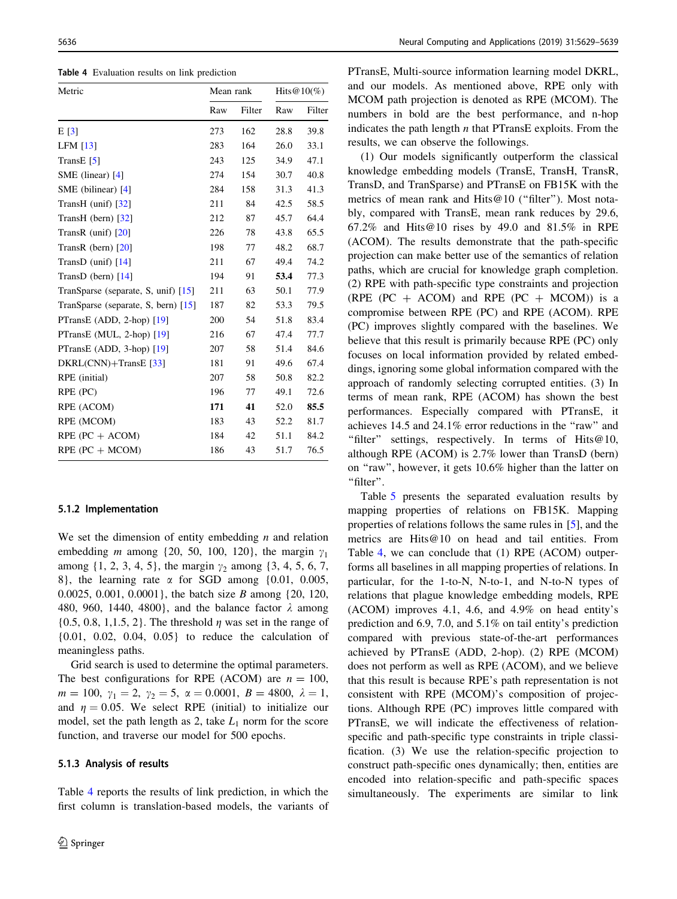Table 4 Evaluation results on link prediction

| Metric                                | Mean rank |        | Hits $@10(\%)$ |        |
|---------------------------------------|-----------|--------|----------------|--------|
|                                       | Raw       | Filter | Raw            | Filter |
| E[3]                                  | 273       | 162    | 28.8           | 39.8   |
| LFM $[13]$                            | 283       | 164    | 26.0           | 33.1   |
| TransE $[5]$                          | 243       | 125    | 34.9           | 47.1   |
| SME (linear) [4]                      | 274       | 154    | 30.7           | 40.8   |
| SME (bilinear) $[4]$                  | 284       | 158    | 31.3           | 41.3   |
| TransH (unif) $\left[32\right]$       | 211       | 84     | 42.5           | 58.5   |
| TransH (bern) $[32]$                  | 212       | 87     | 45.7           | 64.4   |
| TransR (unif) $[20]$                  | 226       | 78     | 43.8           | 65.5   |
| TransR (bern) [20]                    | 198       | 77     | 48.2           | 68.7   |
| TransD (unif) $[14]$                  | 211       | 67     | 49.4           | 74.2   |
| TransD (bern) $[14]$                  | 194       | 91     | 53.4           | 77.3   |
| TranSparse (separate, S, unif) $[15]$ | 211       | 63     | 50.1           | 77.9   |
| TranSparse (separate, S, bern) [15]   | 187       | 82     | 53.3           | 79.5   |
| PTransE (ADD, 2-hop) $[19]$           | 200       | 54     | 51.8           | 83.4   |
| PTransE (MUL, 2-hop) [19]             | 216       | 67     | 47.4           | 77.7   |
| PTransE (ADD, 3-hop) [19]             | 207       | 58     | 51.4           | 84.6   |
| DKRL(CNN)+TransE [33]                 | 181       | 91     | 49.6           | 67.4   |
| RPE (initial)                         | 207       | 58     | 50.8           | 82.2   |
| RPE (PC)                              | 196       | 77     | 49.1           | 72.6   |
| RPE (ACOM)                            | 171       | 41     | 52.0           | 85.5   |
| RPE (MCOM)                            | 183       | 43     | 52.2           | 81.7   |
| $RPE (PC + ACOM)$                     | 184       | 42     | 51.1           | 84.2   |
| $RPE (PC + MCOM)$                     | 186       | 43     | 51.7           | 76.5   |

#### 5.1.2 Implementation

We set the dimension of entity embedding  $n$  and relation embedding *m* among {20, 50, 100, 120}, the margin  $\gamma_1$ among  $\{1, 2, 3, 4, 5\}$ , the margin  $\gamma_2$  among  $\{3, 4, 5, 6, 7,$ 8}, the learning rate  $\alpha$  for SGD among  $\{0.01, 0.005,$ 0.0025, 0.001, 0.0001}, the batch size B among {20, 120, 480, 960, 1440, 4800}, and the balance factor  $\lambda$  among  $\{0.5, 0.8, 1, 1.5, 2\}$ . The threshold  $\eta$  was set in the range of {0.01, 0.02, 0.04, 0.05} to reduce the calculation of meaningless paths.

Grid search is used to determine the optimal parameters. The best configurations for RPE (ACOM) are  $n = 100$ ,  $m = 100, \gamma_1 = 2, \gamma_2 = 5, \alpha = 0.0001, B = 4800, \lambda = 1,$ and  $\eta = 0.05$ . We select RPE (initial) to initialize our model, set the path length as 2, take  $L_1$  norm for the score function, and traverse our model for 500 epochs.

#### 5.1.3 Analysis of results

Table 4 reports the results of link prediction, in which the first column is translation-based models, the variants of PTransE, Multi-source information learning model DKRL, and our models. As mentioned above, RPE only with MCOM path projection is denoted as RPE (MCOM). The numbers in bold are the best performance, and n-hop indicates the path length  $n$  that PTransE exploits. From the results, we can observe the followings.

(1) Our models significantly outperform the classical knowledge embedding models (TransE, TransH, TransR, TransD, and TranSparse) and PTransE on FB15K with the metrics of mean rank and Hits@10 ("filter"). Most notably, compared with TransE, mean rank reduces by 29.6, 67.2% and Hits@10 rises by 49.0 and 81.5% in RPE (ACOM). The results demonstrate that the path-specific projection can make better use of the semantics of relation paths, which are crucial for knowledge graph completion. (2) RPE with path-specific type constraints and projection (RPE (PC  $+$  ACOM) and RPE (PC  $+$  MCOM)) is a compromise between RPE (PC) and RPE (ACOM). RPE (PC) improves slightly compared with the baselines. We believe that this result is primarily because RPE (PC) only focuses on local information provided by related embeddings, ignoring some global information compared with the approach of randomly selecting corrupted entities. (3) In terms of mean rank, RPE (ACOM) has shown the best performances. Especially compared with PTransE, it achieves 14.5 and 24.1% error reductions in the ''raw'' and "filter" settings, respectively. In terms of Hits@10, although RPE (ACOM) is 2.7% lower than TransD (bern) on ''raw'', however, it gets 10.6% higher than the latter on "filter".

Table [5](#page-8-0) presents the separated evaluation results by mapping properties of relations on FB15K. Mapping properties of relations follows the same rules in [\[5](#page-10-0)], and the metrics are Hits@10 on head and tail entities. From Table 4, we can conclude that (1) RPE (ACOM) outperforms all baselines in all mapping properties of relations. In particular, for the 1-to-N, N-to-1, and N-to-N types of relations that plague knowledge embedding models, RPE (ACOM) improves 4.1, 4.6, and 4.9% on head entity's prediction and 6.9, 7.0, and 5.1% on tail entity's prediction compared with previous state-of-the-art performances achieved by PTransE (ADD, 2-hop). (2) RPE (MCOM) does not perform as well as RPE (ACOM), and we believe that this result is because RPE's path representation is not consistent with RPE (MCOM)'s composition of projections. Although RPE (PC) improves little compared with PTransE, we will indicate the effectiveness of relationspecific and path-specific type constraints in triple classification. (3) We use the relation-specific projection to construct path-specific ones dynamically; then, entities are encoded into relation-specific and path-specific spaces simultaneously. The experiments are similar to link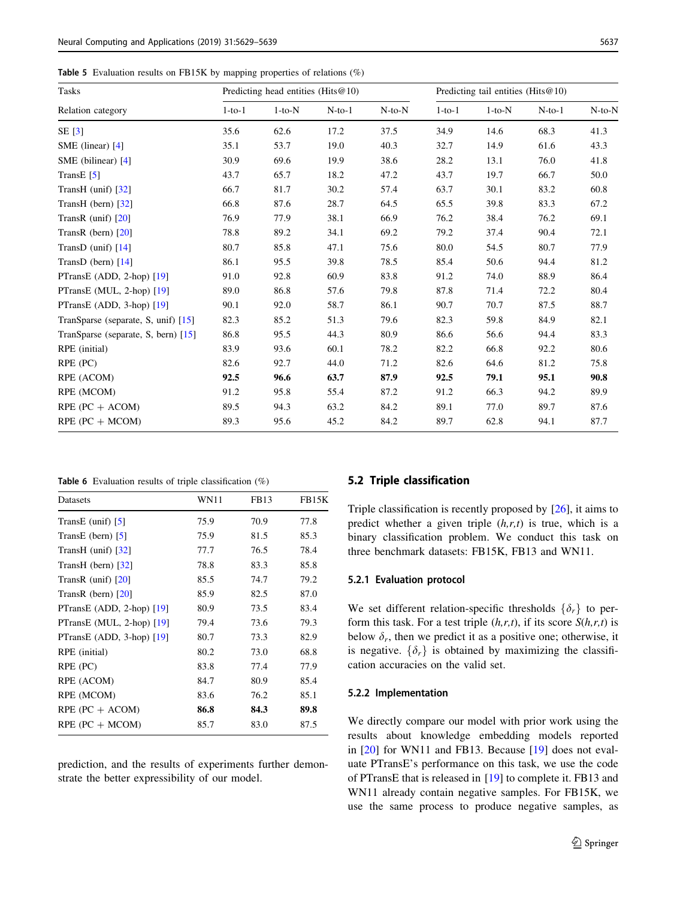<span id="page-8-0"></span>Table 5 Evaluation results on FB15K by mapping properties of relations (%)

| <b>Tasks</b>                          | Predicting head entities (Hits $@10$ ) |          |          |              | Predicting tail entities (Hits $@10$ ) |          |              |              |
|---------------------------------------|----------------------------------------|----------|----------|--------------|----------------------------------------|----------|--------------|--------------|
| Relation category                     | $1-to-1$                               | $1-to-N$ | $N-to-1$ | $N$ -to- $N$ | $1-to-1$                               | $1-to-N$ | $N$ -to- $1$ | $N$ -to- $N$ |
| SE[3]                                 | 35.6                                   | 62.6     | 17.2     | 37.5         | 34.9                                   | 14.6     | 68.3         | 41.3         |
| SME (linear) [4]                      | 35.1                                   | 53.7     | 19.0     | 40.3         | 32.7                                   | 14.9     | 61.6         | 43.3         |
| SME (bilinear) [4]                    | 30.9                                   | 69.6     | 19.9     | 38.6         | 28.2                                   | 13.1     | 76.0         | 41.8         |
| TransE $[5]$                          | 43.7                                   | 65.7     | 18.2     | 47.2         | 43.7                                   | 19.7     | 66.7         | 50.0         |
| TransH (unif) $\left[32\right]$       | 66.7                                   | 81.7     | 30.2     | 57.4         | 63.7                                   | 30.1     | 83.2         | 60.8         |
| TransH (bern) $\lceil 32 \rceil$      | 66.8                                   | 87.6     | 28.7     | 64.5         | 65.5                                   | 39.8     | 83.3         | 67.2         |
| TransR (unif) $[20]$                  | 76.9                                   | 77.9     | 38.1     | 66.9         | 76.2                                   | 38.4     | 76.2         | 69.1         |
| TransR (bern) $[20]$                  | 78.8                                   | 89.2     | 34.1     | 69.2         | 79.2                                   | 37.4     | 90.4         | 72.1         |
| TransD (unif) $[14]$                  | 80.7                                   | 85.8     | 47.1     | 75.6         | 80.0                                   | 54.5     | 80.7         | 77.9         |
| TransD (bern) [14]                    | 86.1                                   | 95.5     | 39.8     | 78.5         | 85.4                                   | 50.6     | 94.4         | 81.2         |
| PTransE (ADD, 2-hop) $[19]$           | 91.0                                   | 92.8     | 60.9     | 83.8         | 91.2                                   | 74.0     | 88.9         | 86.4         |
| PTransE (MUL, 2-hop) [19]             | 89.0                                   | 86.8     | 57.6     | 79.8         | 87.8                                   | 71.4     | 72.2         | 80.4         |
| PTransE (ADD, $3-hop$ ) [19]          | 90.1                                   | 92.0     | 58.7     | 86.1         | 90.7                                   | 70.7     | 87.5         | 88.7         |
| Transparse (separate, S, unif) $[15]$ | 82.3                                   | 85.2     | 51.3     | 79.6         | 82.3                                   | 59.8     | 84.9         | 82.1         |
| TranSparse (separate, S, bern) [15]   | 86.8                                   | 95.5     | 44.3     | 80.9         | 86.6                                   | 56.6     | 94.4         | 83.3         |
| RPE (initial)                         | 83.9                                   | 93.6     | 60.1     | 78.2         | 82.2                                   | 66.8     | 92.2         | 80.6         |
| RPE (PC)                              | 82.6                                   | 92.7     | 44.0     | 71.2         | 82.6                                   | 64.6     | 81.2         | 75.8         |
| RPE (ACOM)                            | 92.5                                   | 96.6     | 63.7     | 87.9         | 92.5                                   | 79.1     | 95.1         | 90.8         |
| RPE (MCOM)                            | 91.2                                   | 95.8     | 55.4     | 87.2         | 91.2                                   | 66.3     | 94.2         | 89.9         |
| RPE $(PC + ACOM)$                     | 89.5                                   | 94.3     | 63.2     | 84.2         | 89.1                                   | 77.0     | 89.7         | 87.6         |
| $RPE (PC + MCOM)$                     | 89.3                                   | 95.6     | 45.2     | 84.2         | 89.7                                   | 62.8     | 94.1         | 87.7         |
|                                       |                                        |          |          |              |                                        |          |              |              |

Table 6 Evaluation results of triple classification (%)

| Datasets                         | <b>WN11</b> | FB <sub>13</sub> | FB15K |
|----------------------------------|-------------|------------------|-------|
| TransE (unif) $[5]$              | 75.9        | 70.9             | 77.8  |
| TransE (bern) $\lceil 5 \rceil$  | 75.9        | 81.5             | 85.3  |
| TransH (unif) $\lceil 32 \rceil$ | 77.7        | 76.5             | 78.4  |
| TransH (bern) $\lceil 32 \rceil$ | 78.8        | 83.3             | 85.8  |
| TransR $(unif)$ [20]             | 85.5        | 74.7             | 79.2  |
| TransR (bern) $[20]$             | 85.9        | 82.5             | 87.0  |
| PTransE (ADD, 2-hop) $[19]$      | 80.9        | 73.5             | 83.4  |
| PTransE (MUL, 2-hop) $[19]$      | 79.4        | 73.6             | 79.3  |
| PTransE (ADD, $3-hop$ ) [19]     | 80.7        | 73.3             | 82.9  |
| RPE (initial)                    | 80.2        | 73.0             | 68.8  |
| RPE (PC)                         | 83.8        | 77.4             | 77.9  |
| RPE (ACOM)                       | 84.7        | 80.9             | 85.4  |
| RPE (MCOM)                       | 83.6        | 76.2             | 85.1  |
| $RPE (PC + ACOM)$                | 86.8        | 84.3             | 89.8  |
| $RPE (PC + MCOM)$                | 85.7        | 83.0             | 87.5  |

prediction, and the results of experiments further demonstrate the better expressibility of our model.

#### 5.2 Triple classification

Triple classification is recently proposed by [\[26](#page-10-0)], it aims to predict whether a given triple  $(h,r,t)$  is true, which is a binary classification problem. We conduct this task on three benchmark datasets: FB15K, FB13 and WN11.

#### 5.2.1 Evaluation protocol

We set different relation-specific thresholds  $\{\delta_r\}$  to perform this task. For a test triple  $(h,r,t)$ , if its score  $S(h,r,t)$  is below  $\delta_r$ , then we predict it as a positive one; otherwise, it is negative.  $\{\delta_r\}$  is obtained by maximizing the classification accuracies on the valid set.

### 5.2.2 Implementation

We directly compare our model with prior work using the results about knowledge embedding models reported in [[20\]](#page-10-0) for WN11 and FB13. Because [\[19](#page-10-0)] does not evaluate PTransE's performance on this task, we use the code of PTransE that is released in [[19\]](#page-10-0) to complete it. FB13 and WN11 already contain negative samples. For FB15K, we use the same process to produce negative samples, as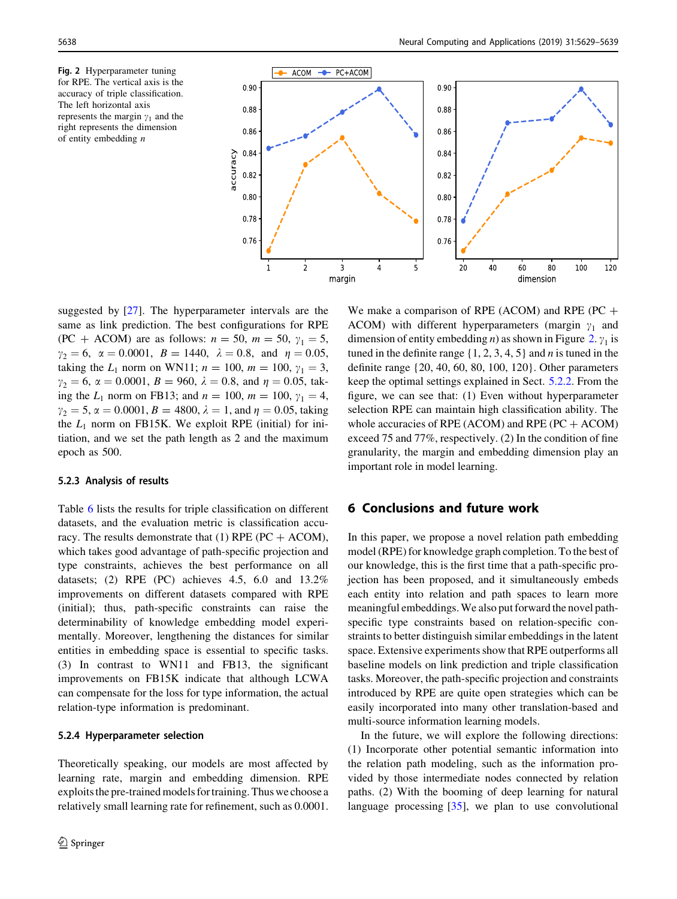Fig. 2 Hyperparameter tuning for RPE. The vertical axis is the accuracy of triple classification. The left horizontal axis represents the margin  $\gamma_1$  and the right represents the dimension of entity embedding  $n$ 



suggested by [[27\]](#page-10-0). The hyperparameter intervals are the same as link prediction. The best configurations for RPE (PC + ACOM) are as follows:  $n = 50$ ,  $m = 50$ ,  $\gamma_1 = 5$ ,  $\gamma_2 = 6$ ,  $\alpha = 0.0001$ ,  $B = 1440$ ,  $\lambda = 0.8$ , and  $\eta = 0.05$ , taking the  $L_1$  norm on WN11;  $n = 100$ ,  $m = 100$ ,  $\gamma_1 = 3$ ,  $\gamma_2 = 6$ ,  $\alpha = 0.0001$ ,  $B = 960$ ,  $\lambda = 0.8$ , and  $\eta = 0.05$ , taking the  $L_1$  norm on FB13; and  $n = 100$ ,  $m = 100$ ,  $\gamma_1 = 4$ ,  $\gamma_2 = 5$ ,  $\alpha = 0.0001$ ,  $B = 4800$ ,  $\lambda = 1$ , and  $\eta = 0.05$ , taking the  $L_1$  norm on FB15K. We exploit RPE (initial) for initiation, and we set the path length as 2 and the maximum epoch as 500.

#### 5.2.3 Analysis of results

Table [6](#page-8-0) lists the results for triple classification on different datasets, and the evaluation metric is classification accuracy. The results demonstrate that (1) RPE ( $PC + ACOM$ ), which takes good advantage of path-specific projection and type constraints, achieves the best performance on all datasets; (2) RPE (PC) achieves 4.5, 6.0 and 13.2% improvements on different datasets compared with RPE (initial); thus, path-specific constraints can raise the determinability of knowledge embedding model experimentally. Moreover, lengthening the distances for similar entities in embedding space is essential to specific tasks. (3) In contrast to WN11 and FB13, the significant improvements on FB15K indicate that although LCWA can compensate for the loss for type information, the actual relation-type information is predominant.

#### 5.2.4 Hyperparameter selection

Theoretically speaking, our models are most affected by learning rate, margin and embedding dimension. RPE exploits the pre-trained models for training. Thus we choose a relatively small learning rate for refinement, such as 0.0001.

We make a comparison of RPE (ACOM) and RPE (PC  $+$ ACOM) with different hyperparameters (margin  $\gamma_1$  and dimension of entity embedding *n*) as shown in Figure 2.  $\gamma_1$  is tuned in the definite range  $\{1, 2, 3, 4, 5\}$  and *n* is tuned in the definite range {20, 40, 60, 80, 100, 120}. Other parameters keep the optimal settings explained in Sect. [5.2.2.](#page-8-0) From the figure, we can see that: (1) Even without hyperparameter selection RPE can maintain high classification ability. The whole accuracies of RPE (ACOM) and RPE (PC  $+$  ACOM) exceed 75 and 77%, respectively. (2) In the condition of fine granularity, the margin and embedding dimension play an important role in model learning.

# 6 Conclusions and future work

In this paper, we propose a novel relation path embedding model (RPE) for knowledge graph completion. To the best of our knowledge, this is the first time that a path-specific projection has been proposed, and it simultaneously embeds each entity into relation and path spaces to learn more meaningful embeddings.We also put forward the novel pathspecific type constraints based on relation-specific constraints to better distinguish similar embeddings in the latent space. Extensive experiments show that RPE outperforms all baseline models on link prediction and triple classification tasks. Moreover, the path-specific projection and constraints introduced by RPE are quite open strategies which can be easily incorporated into many other translation-based and multi-source information learning models.

In the future, we will explore the following directions: (1) Incorporate other potential semantic information into the relation path modeling, such as the information provided by those intermediate nodes connected by relation paths. (2) With the booming of deep learning for natural language processing  $[35]$  $[35]$ , we plan to use convolutional